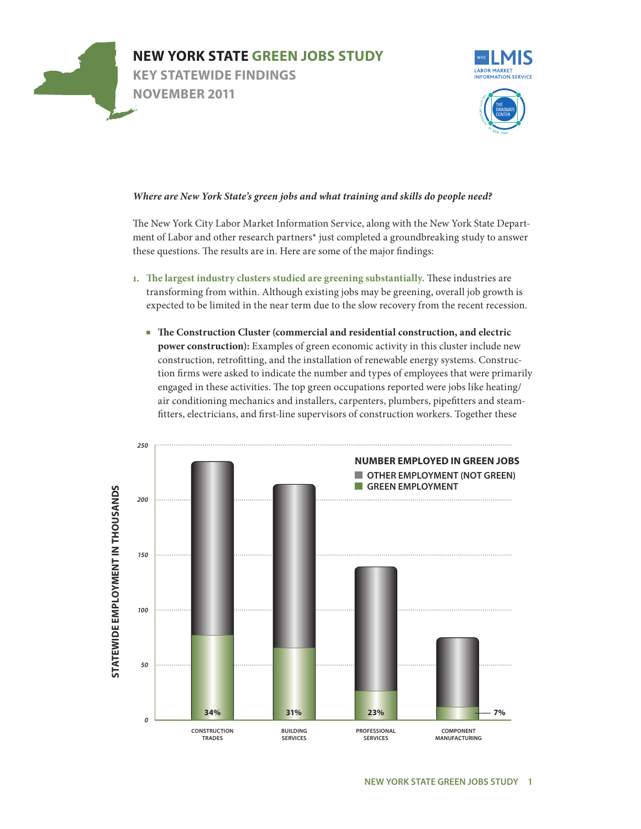



## Where are New York State's green jobs and what training and skills do people need?

The New York City Labor Market Information Service, along with the New York State Department of Labor and other research partners\* just completed a groundbreaking study to answer *re* some of the ma these questions. The results are in. Here are some of the major findings:  $\sum_{i=1}^{n}$ 

- 1. The largest industry clusters studied are greening substantially. These industries are transforming from within. Although existing jobs may be greening, overall job growth is n due to the slow re expected to be limited in the near term due to the slow recovery from the recent recession.
	- The Construction Cluster (commercial and residential construction, and electric **power construction):** Examples of green economic activity in this cluster include new construction, retrofitting, and the installation of renewable energy systems. Construction firms were asked to indicate the number and types of employees that were primarily engaged in these activities. The top green occupations reported were jobs like heating/ air conditioning mechanics and installers, carpenters, plumbers, pipefitters and steamfitters, electricians, and first-line supervisors of construction workers. Together these

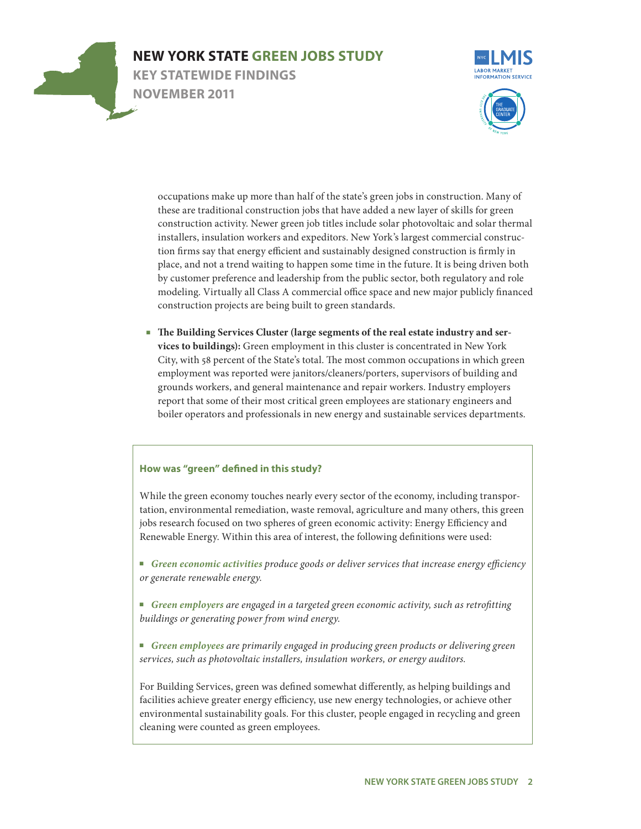

# **NEW YORK STATE GREEN JOBS STUDY**

**Key Statewide Findings NOVEMBER 2011**





lf of the state's gree these are traditional construction jobs that have added a new layer of skills for green construction activity. Newer green job titles include solar photovoltaic and solar thermal installers, insulation workers and expeditors. New York's largest commercial construc-<sup>1</sup><br>and sustainably de ppen some time in the future. It is bein by customer preference and leadership from the public sector, both regulatory and role modeling. Virtually all Class A commercial office space and new major publicly financed construction projects are being built to green standards. occupations make up more than half of the state's green jobs in construction. Many of gned construction ment of nonfood items like magazines. tion firms say that energy efficient and sustainably designed construction is firmly in place, and not a trend waiting to happen some time in the future. It is being driven both

■ The Building Services Cluster (large segments of the real estate industry and ser**vices to buildings):** Green employment in this cluster is concentrated in New York City, with 58 percent of the State's total. The most common occupations in which green employment was reported were janitors/cleaners/porters, supervisors of building and grounds workers, and general maintenance and repair workers. Industry employers report that some of their most critical green employees are stationary engineers and boiler operators and professionals in new energy and sustainable services departments.

### **How was "green" defined in this study?**

While the green economy touches nearly every sector of the economy, including transportation, environmental remediation, waste removal, agriculture and many others, this green jobs research focused on two spheres of green economic activity: Energy Efficiency and Renewable Energy. Within this area of interest, the following definitions were used:

■ Green economic activities produce goods or deliver services that increase energy efficiency *or generate renewable energy.*

■ Green employers are engaged in a targeted green economic activity, such as retrofitting *buildings or generating power from wind energy.*

■ Green employees are primarily engaged in producing green products or delivering green *services, such as photovoltaic installers, insulation workers, or energy auditors.*

For Building Services, green was defined somewhat differently, as helping buildings and facilities achieve greater energy efficiency, use new energy technologies, or achieve other environmental sustainability goals. For this cluster, people engaged in recycling and green cleaning were counted as green employees.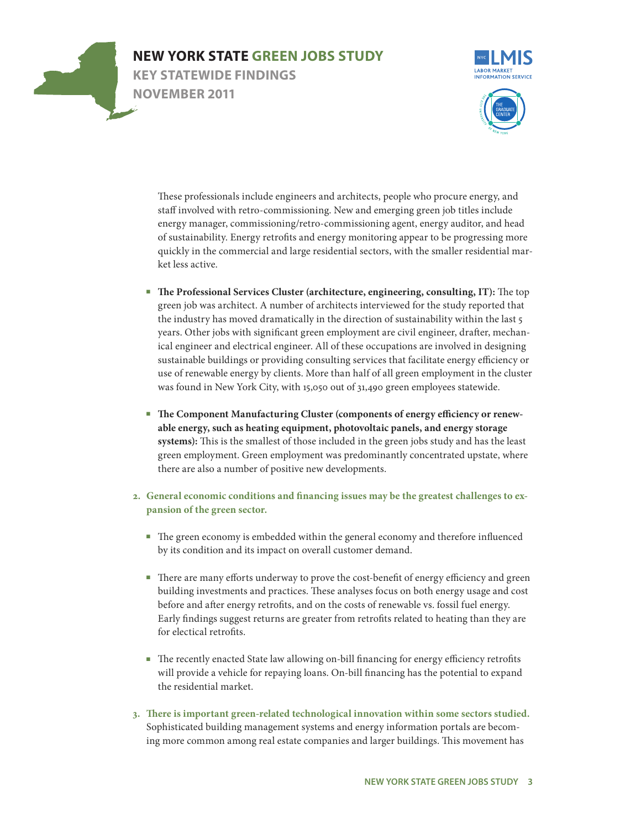





system in 2009. The NYCLMIS identified the ten groups in an earlier report, *Gaug-ing Employment Prospects in New York City,*  staff involved with retro-commissioning. New and emerging green job titles include energy manager, commissioning/retro-commissioning agent, energy auditor, and head of sustainability. Energy retrofits and energy monitoring appear to be progressing more e residential sectors These professionals include engineers and architects, people who procure energy, and with the smaller  $\overline{r}$ quickly in the commercial and large residential sectors, with the smaller residential market less active.

- years. Other jobs with significant green employment are civil engineer, drafter, mechan-The Professional Services Cluster (architecture, engineering, consulting, IT): The top of architects interv the industry has moved dramatically in the direction of sustainability within the last 5 green job was architect. A number of architects interviewed for the study reported that ical engineer and electrical engineer. All of these occupations are involved in designing sustainable buildings or providing consulting services that facilitate energy efficiency or use of renewable energy by clients. More than half of all green employment in the cluster was found in New York City, with 15,050 out of 31,490 green employees statewide.
- **The Component Manufacturing Cluster (components of energy efficiency or renewable energy, such as heating equipment, photovoltaic panels, and energy storage systems):** This is the smallest of those included in the green jobs study and has the least green employment. Green employment was predominantly concentrated upstate, where there are also a number of positive new developments.
- **2. General economic conditions and financing issues may be the greatest challenges to expansion of the green sector.**
	- The green economy is embedded within the general economy and therefore influenced by its condition and its impact on overall customer demand.
	- There are many efforts underway to prove the cost-benefit of energy efficiency and green building investments and practices. These analyses focus on both energy usage and cost before and after energy retrofits, and on the costs of renewable vs. fossil fuel energy. Early findings suggest returns are greater from retrofits related to heating than they are for electical retrofits.
	- The recently enacted State law allowing on-bill financing for energy efficiency retrofits will provide a vehicle for repaying loans. On-bill financing has the potential to expand the residential market.
- **3. There is important green-related technological innovation within some sectors studied.** Sophisticated building management systems and energy information portals are becoming more common among real estate companies and larger buildings. This movement has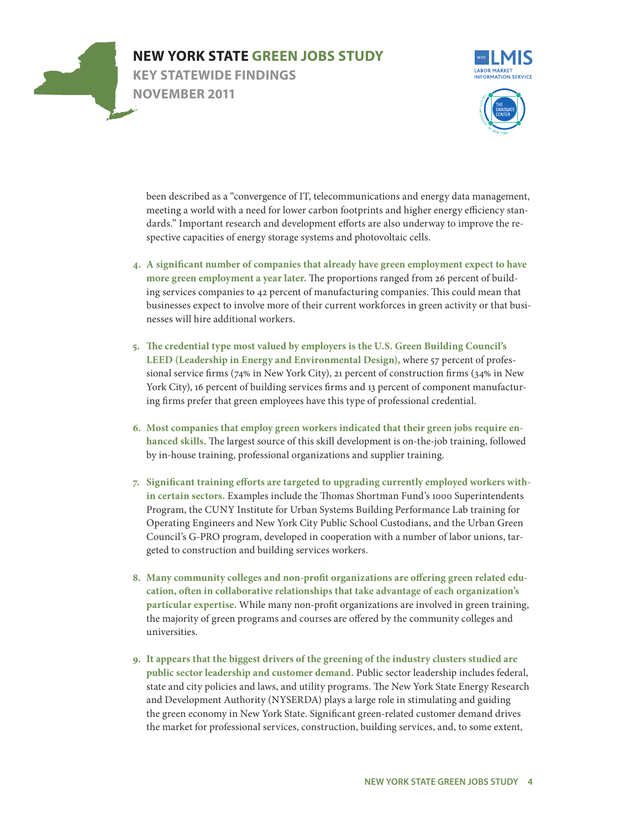



r, telecommunicati<sub>t</sub> meeting a world with a need for lower carbon footprints and higher energy efficiency standards." Important research and development efforts are also underway to improve the respective capacities of energy storage systems and photovoltaic cells. This profile is meant to help *account*  been described as a "convergence of IT, telecommunications and energy data management,

- hat already have green employment eː more green employment a year later. The proportions ranged from 26 percent of building services companies to 42 percent of manufacturing companies. This could mean that heir current workf businesses expect to involve more of their current workforces in green activity or that busi-4. A significant number of companies that already have green employment expect to have nesses will hire additional workers.
- **5. The credential type most valued by employers is the U.S. Green Building Council's LEED (Leadership in Energy and Environmental Design),** where 57 percent of professional service firms (74% in New York City), 21 percent of construction firms (34% in New York City), 16 percent of building services firms and 13 percent of component manufacturing firms prefer that green employees have this type of professional credential.
- **6. Most companies that employ green workers indicated that their green jobs require enhanced skills.** The largest source of this skill development is on-the-job training, followed by in-house training, professional organizations and supplier training.
- **7. Significant training efforts are targeted to upgrading currently employed workers within certain sectors.** Examples include the Thomas Shortman Fund's 1000 Superintendents Program, the CUNY Institute for Urban Systems Building Performance Lab training for Operating Engineers and New York City Public School Custodians, and the Urban Green Council's G-PRO program, developed in cooperation with a number of labor unions, targeted to construction and building services workers.
- **8. Many community colleges and non-profit organizations are offering green related education, often in collaborative relationships that take advantage of each organization's particular expertise.** While many non-profit organizations are involved in green training, the majority of green programs and courses are offered by the community colleges and universities.
- **9. It appears that the biggest drivers of the greening of the industry clusters studied are public sector leadership and customer demand.** Public sector leadership includes federal, state and city policies and laws, and utility programs. The New York State Energy Research and Development Authority (NYSERDA) plays a large role in stimulating and guiding the green economy in New York State. Significant green-related customer demand drives the market for professional services, construction, building services, and, to some extent,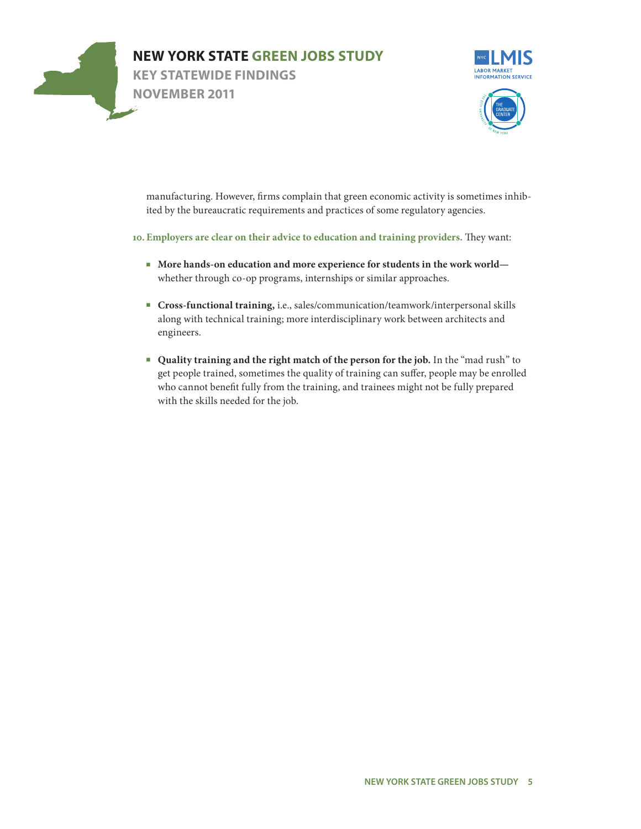



 $\tanh$  that green ecor ited by the bureaucratic requirements and practices of some regulatory agencies. manufacturing. However, firms complain that green economic activity is sometimes inhib-

#### 10. Employers are clear on their advice to education and training providers. They want:  $\mathbf{S}$  and  $\mathbf{S}$  and  $\mathbf{S}$  sold. Supermar-

- re experience for s whether through co-op programs, internships or similar approaches. udents in the work ■ More hands-on education and more experience for students in the work world—
- es/communication along with technical training; more interdisciplinary work between architects and ■ **Cross-functional training,** i.e., sales/communication/teamwork/interpersonal skills engineers.
- **Quality training and the right match of the person for the job.** In the "mad rush" to get people trained, sometimes the quality of training can suffer, people may be enrolled who cannot benefit fully from the training, and trainees might not be fully prepared with the skills needed for the job.